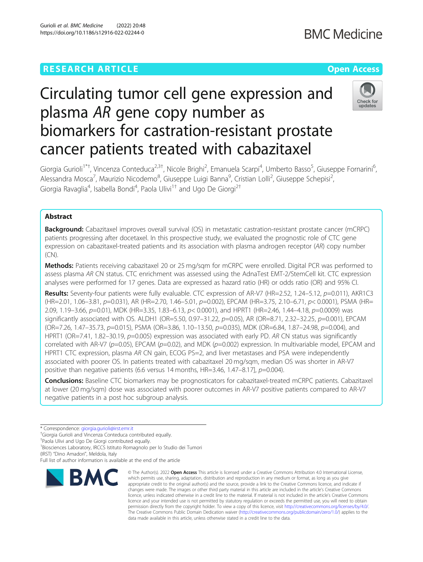# **RESEARCH ARTICLE Example 2014 12:30 The Company Access** (Capture 2014) 2014 12:30 The Open Access

# **BMC Medicine**

# Circulating tumor cell gene expression and plasma AR gene copy number as biomarkers for castration-resistant prostate cancer patients treated with cabazitaxel



Giorgia Gurioli<sup>1\*†</sup>, Vincenza Conteduca<sup>2,3†</sup>, Nicole Brighi<sup>2</sup>, Emanuela Scarpi<sup>4</sup>, Umberto Basso<sup>5</sup>, Giuseppe Fornarini<sup>6</sup> י<br>, Alessandra Mosca<sup>7</sup>, Maurizio Nicodemo<sup>8</sup>, Giuseppe Luigi Banna<sup>9</sup>, Cristian Lolli<sup>2</sup>, Giuseppe Schepisi<sup>2</sup> .<br>, Giorgia Ravaglia<sup>4</sup>, Isabella Bondi<sup>4</sup>, Paola Ulivi<sup>1†</sup> and Ugo De Giorgi<sup>2†</sup>

# Abstract

Background: Cabazitaxel improves overall survival (OS) in metastatic castration-resistant prostate cancer (mCRPC) patients progressing after docetaxel. In this prospective study, we evaluated the prognostic role of CTC gene expression on cabazitaxel-treated patients and its association with plasma androgen receptor (AR) copy number (CN).

Methods: Patients receiving cabazitaxel 20 or 25 mg/sqm for mCRPC were enrolled. Digital PCR was performed to assess plasma AR CN status. CTC enrichment was assessed using the AdnaTest EMT-2/StemCell kit. CTC expression analyses were performed for 17 genes. Data are expressed as hazard ratio (HR) or odds ratio (OR) and 95% CI.

Results: Seventy-four patients were fully evaluable. CTC expression of AR-V7 (HR=2.52, 1.24–5.12, p=0.011), AKR1C3 (HR=2.01, 1.06–3.81, p=0.031), AR (HR=2.70, 1.46–5.01, p=0.002), EPCAM (HR=3.75, 2.10–6.71, p< 0.0001), PSMA (HR= 2.09, 1.19-3.66, p=0.01), MDK (HR=3.35, 1.83-6.13, p< 0.0001), and HPRT1 (HR=2.46, 1.44-4.18, p=0.0009) was significantly associated with OS. ALDH1 (OR=5.50, 0.97-31.22,  $p=0.05$ ), AR (OR=8.71, 2.32-32.25,  $p=0.001$ ), EPCAM (OR=7.26, 1.47–35.73, p=0.015), PSMA (OR=3.86, 1.10–13.50, p=0.035), MDK (OR=6.84, 1.87–24.98, p=0.004), and HPRT1 (OR=7.41, 1.82-30.19, p=0.005) expression was associated with early PD. AR CN status was significantly correlated with AR-V7 ( $p=0.05$ ), EPCAM ( $p=0.02$ ), and MDK ( $p=0.002$ ) expression. In multivariable model, EPCAM and HPRT1 CTC expression, plasma AR CN gain, ECOG PS=2, and liver metastases and PSA were independently associated with poorer OS. In patients treated with cabazitaxel 20 mg/sqm, median OS was shorter in AR-V7 positive than negative patients (6.6 versus 14 months,  $HR=3.46$ , 1.47-8.17],  $p=0.004$ ).

Conclusions: Baseline CTC biomarkers may be prognosticators for cabazitaxel-treated mCRPC patients. Cabazitaxel at lower (20 mg/sqm) dose was associated with poorer outcomes in AR-V7 positive patients compared to AR-V7 negative patients in a post hoc subgroup analysis.

(IRST) "Dino Amadori", Meldola, Italy

Full list of author information is available at the end of the article



<sup>©</sup> The Author(s), 2022 **Open Access** This article is licensed under a Creative Commons Attribution 4.0 International License, which permits use, sharing, adaptation, distribution and reproduction in any medium or format, as long as you give appropriate credit to the original author(s) and the source, provide a link to the Creative Commons licence, and indicate if changes were made. The images or other third party material in this article are included in the article's Creative Commons licence, unless indicated otherwise in a credit line to the material. If material is not included in the article's Creative Commons licence and your intended use is not permitted by statutory regulation or exceeds the permitted use, you will need to obtain permission directly from the copyright holder. To view a copy of this licence, visit [http://creativecommons.org/licenses/by/4.0/.](http://creativecommons.org/licenses/by/4.0/) The Creative Commons Public Domain Dedication waiver [\(http://creativecommons.org/publicdomain/zero/1.0/](http://creativecommons.org/publicdomain/zero/1.0/)) applies to the data made available in this article, unless otherwise stated in a credit line to the data.

<sup>\*</sup> Correspondence: [giorgia.gurioli@irst.emr.it](mailto:giorgia.gurioli@irst.emr.it) †

<sup>&</sup>lt;sup>†</sup>Giorgia Gurioli and Vincenza Conteduca contributed equally.

<sup>†</sup> Paola Ulivi and Ugo De Giorgi contributed equally.

<sup>1</sup> Biosciences Laboratory, IRCCS Istituto Romagnolo per lo Studio dei Tumori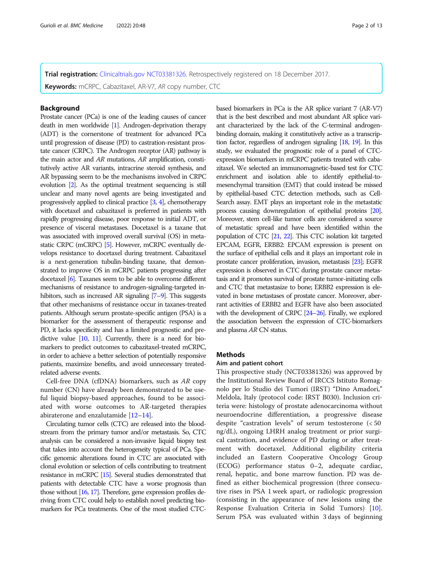Trial registration: [Clinicaltrials.gov](http://clinicaltrials.gov) [NCT03381326.](https://clinicaltrials.gov/ct2/show/NCT03381326) Retrospectively registered on 18 December 2017. Keywords: mCRPC, Cabazitaxel, AR-V7, AR copy number, CTC

# Background

Prostate cancer (PCa) is one of the leading causes of cancer death in men worldwide [\[1\]](#page-10-0). Androgen-deprivation therapy (ADT) is the cornerstone of treatment for advanced PCa until progression of disease (PD) to castration-resistant prostate cancer (CRPC). The Androgen receptor (AR) pathway is the main actor and AR mutations, AR amplification, constitutively active AR variants, intracrine steroid synthesis, and AR bypassing seem to be the mechanisms involved in CRPC evolution [\[2](#page-10-0)]. As the optimal treatment sequencing is still unclear and many novel agents are being investigated and progressively applied to clinical practice [\[3,](#page-10-0) [4](#page-10-0)], chemotherapy with docetaxel and cabazitaxel is preferred in patients with rapidly progressing disease, poor response to initial ADT, or presence of visceral metastases. Docetaxel is a taxane that was associated with improved overall survival (OS) in metastatic CRPC (mCRPC) [\[5](#page-10-0)]. However, mCRPC eventually develops resistance to docetaxel during treatment. Cabazitaxel is a next-generation tubulin-binding taxane, that demonstrated to improve OS in mCRPC patients progressing after docetaxel [\[6\]](#page-10-0). Taxanes seem to be able to overcome different mechanisms of resistance to androgen-signaling-targeted in-hibitors, such as increased AR signaling [\[7](#page-10-0)–[9\]](#page-10-0). This suggests that other mechanisms of resistance occur in taxanes-treated patients. Although serum prostate-specific antigen (PSA) is a biomarker for the assessment of therapeutic response and PD, it lacks specificity and has a limited prognostic and predictive value [\[10](#page-11-0), [11](#page-11-0)]. Currently, there is a need for biomarkers to predict outcomes to cabazitaxel-treated mCRPC, in order to achieve a better selection of potentially responsive patients, maximize benefits, and avoid unnecessary treatedrelated adverse events.

Cell-free DNA (cfDNA) biomarkers, such as AR copy number (CN) have already been demonstrated to be useful liquid biopsy-based approaches, found to be associated with worse outcomes to AR-targeted therapies abiraterone and enzalutamide [\[12](#page-11-0)–[14\]](#page-11-0).

Circulating tumor cells (CTC) are released into the bloodstream from the primary tumor and/or metastasis. So, CTC analysis can be considered a non-invasive liquid biopsy test that takes into account the heterogeneity typical of PCa. Specific genomic alterations found in CTC are associated with clonal evolution or selection of cells contributing to treatment resistance in mCRPC [\[15\]](#page-11-0). Several studies demonstrated that patients with detectable CTC have a worse prognosis than those without [\[16](#page-11-0), [17\]](#page-11-0). Therefore, gene expression profiles deriving from CTC could help to establish novel predicting biomarkers for PCa treatments. One of the most studied CTC-

based biomarkers in PCa is the AR splice variant 7 (AR-V7) that is the best described and most abundant AR splice variant characterized by the lack of the C-terminal androgenbinding domain, making it constitutively active as a transcription factor, regardless of androgen signaling [\[18](#page-11-0), [19\]](#page-11-0). In this study, we evaluated the prognostic role of a panel of CTCexpression biomarkers in mCRPC patients treated with cabazitaxel. We selected an immunomagnetic-based test for CTC enrichment and isolation able to identify epithelial-tomesenchymal transition (EMT) that could instead be missed by epithelial-based CTC detection methods, such as Cell-Search assay. EMT plays an important role in the metastatic process causing downregulation of epithelial proteins [\[20\]](#page-11-0). Moreover, stem cell-like tumor cells are considered a source of metastatic spread and have been identified within the population of CTC [\[21](#page-11-0), [22\]](#page-11-0). This CTC isolation kit targeted EPCAM, EGFR, ERBB2: EPCAM expression is present on the surface of epithelial cells and it plays an important role in prostate cancer proliferation, invasion, metastasis [[23\]](#page-11-0); EGFR expression is observed in CTC during prostate cancer metastasis and it promotes survival of prostate tumor-initiating cells and CTC that metastasize to bone; ERBB2 expression is elevated in bone metastases of prostate cancer. Moreover, aberrant activities of ERBB2 and EGFR have also been associated with the development of CRPC [\[24](#page-11-0)–[26\]](#page-11-0). Finally, we explored the association between the expression of CTC-biomarkers and plasma AR CN status.

# Methods

# Aim and patient cohort

This prospective study (NCT03381326) was approved by the Institutional Review Board of IRCCS Istituto Romagnolo per lo Studio dei Tumori (IRST) "Dino Amadori," Meldola, Italy (protocol code: IRST B030). Inclusion criteria were: histology of prostate adenocarcinoma without neuroendocrine differentiation, a progressive disease despite "castration levels" of serum testosterone (< 50 ng/dL), ongoing LHRH analog treatment or prior surgical castration, and evidence of PD during or after treatment with docetaxel. Additional eligibility criteria included an Eastern Cooperative Oncology Group (ECOG) performance status 0–2, adequate cardiac, renal, hepatic, and bone marrow function. PD was defined as either biochemical progression (three consecutive rises in PSA 1 week apart, or radiologic progression (consisting in the appearance of new lesions using the Response Evaluation Criteria in Solid Tumors) [\[10](#page-11-0)]. Serum PSA was evaluated within 3 days of beginning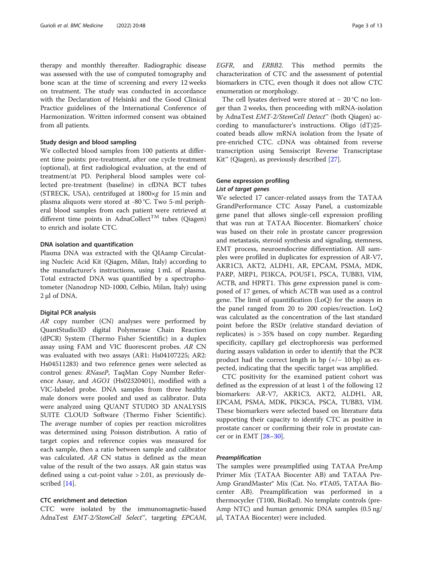therapy and monthly thereafter. Radiographic disease was assessed with the use of computed tomography and bone scan at the time of screening and every 12 weeks on treatment. The study was conducted in accordance with the Declaration of Helsinki and the Good Clinical Practice guidelines of the International Conference of Harmonization. Written informed consent was obtained from all patients.

# Study design and blood sampling

We collected blood samples from 100 patients at different time points: pre-treatment, after one cycle treatment (optional), at first radiological evaluation, at the end of treatment/at PD. Peripheral blood samples were collected pre-treatment (baseline) in cfDNA BCT tubes (STRECK, USA), centrifuged at 1800×g for 15 min and plasma aliquots were stored at -80 °C. Two 5-ml peripheral blood samples from each patient were retrieved at different time points in AdnaCollect<sup>TM</sup> tubes (Oiagen) to enrich and isolate CTC.

# DNA isolation and quantification

Plasma DNA was extracted with the QIAamp Circulating Nucleic Acid Kit (Qiagen, Milan, Italy) according to the manufacturer's instructions, using 1 mL of plasma. Total extracted DNA was quantified by a spectrophotometer (Nanodrop ND-1000, Celbio, Milan, Italy) using 2 μl of DNA.

### Digital PCR analysis

AR copy number (CN) analyses were performed by QuantStudio3D digital Polymerase Chain Reaction (dPCR) System (Thermo Fisher Scientific) in a duplex assay using FAM and VIC fluorescent probes. AR CN was evaluated with two assays (AR1: Hs04107225; AR2: Hs04511283) and two reference genes were selected as control genes: RNaseP, TaqMan Copy Number Reference Assay, and AGO1 (Hs02320401), modified with a VIC-labeled probe. DNA samples from three healthy male donors were pooled and used as calibrator. Data were analyzed using QUANT STUDIO 3D ANALYSIS SUITE CLOUD Software (Thermo Fisher Scientific). The average number of copies per reaction microlitres was determined using Poisson distribution. A ratio of target copies and reference copies was measured for each sample, then a ratio between sample and calibrator was calculated. AR CN status is defined as the mean value of the result of the two assays. AR gain status was defined using a cut-point value > 2.01, as previously described [[14\]](#page-11-0).

# CTC enrichment and detection

CTC were isolated by the immunomagnetic-based AdnaTest EMT-2/StemCell Select<sup>™</sup>, targeting EPCAM, EGFR, and ERBB2. This method permits the characterization of CTC and the assessment of potential biomarkers in CTC, even though it does not allow CTC enumeration or morphology.

The cell lysates derived were stored at − 20 °C no longer than 2 weeks, then proceeding with mRNA-isolation by AdnaTest EMT-2/StemCell Detect™ (both Qiagen) according to manufacturer's instructions. Oligo (dT)25 coated beads allow mRNA isolation from the lysate of pre-enriched CTC. cDNA was obtained from reverse transcription using Sensiscript Reverse Transcriptase Kit<sup>™</sup> (Qiagen), as previously described [[27](#page-11-0)].

# Gene expression profiling

We selected 17 cancer-related assays from the TATAA GrandPerformance CTC Assay Panel, a customizable gene panel that allows single-cell expression profiling that was run at TATAA Biocenter. Biomarkers' choice was based on their role in prostate cancer progression and metastasis, steroid synthesis and signaling, stemness, EMT process, neuroendocrine differentiation. All samples were profiled in duplicates for expression of AR-V7, AKR1C3, AKT2, ALDH1, AR, EPCAM, PSMA, MDK, PARP, MRP1, PI3KCA, POU5F1, PSCA, TUBB3, VIM, ACTB, and HPRT1. This gene expression panel is composed of 17 genes, of which ACTB was used as a control gene. The limit of quantification (LoQ) for the assays in the panel ranged from 20 to 200 copies/reaction. LoQ was calculated as the concentration of the last standard point before the RSDr (relative standard deviation of replicates) is > 35% based on copy number. Regarding specificity, capillary gel electrophoresis was performed during assays validation in order to identify that the PCR product had the correct length in bp  $(+/- 10$  bp) as expected, indicating that the specific target was amplified.

CTC positivity for the examined patient cohort was defined as the expression of at least 1 of the following 12 biomarkers: AR-V7, AKR1C3, AKT2, ALDH1, AR, EPCAM, PSMA, MDK, PIK3CA, PSCA, TUBB3, VIM. These biomarkers were selected based on literature data supporting their capacity to identify CTC as positive in prostate cancer or confirming their role in prostate cancer or in EMT [\[28](#page-11-0)–[30\]](#page-11-0).

The samples were preamplified using TATAA PreAmp Primer Mix (TATAA Biocenter AB) and TATAA Pre-Amp GrandMaster® Mix (Cat. No. #TA05, TATAA Biocenter AB). Preamplification was performed in a thermocycler (T100, BioRad). No template controls (pre-Amp NTC) and human genomic DNA samples (0.5 ng/ μl, TATAA Biocenter) were included.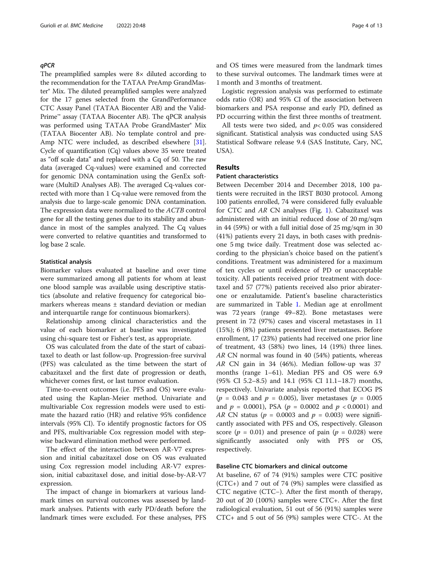The preamplified samples were 8× diluted according to the recommendation for the TATAA PreAmp GrandMaster® Mix. The diluted preamplified samples were analyzed for the 17 genes selected from the GrandPerformance CTC Assay Panel (TATAA Biocenter AB) and the Valid-Prime™ assay (TATAA Biocenter AB). The qPCR analysis was performed using TATAA Probe GrandMaster® Mix (TATAA Biocenter AB). No template control and pre-Amp NTC were included, as described elsewhere [[31](#page-11-0)]. Cycle of quantification (Cq) values above 35 were treated as "off scale data" and replaced with a Cq of 50. The raw data (averaged Cq-values) were examined and corrected for genomic DNA contamination using the GenEx software (MultiD Analyses AB). The averaged Cq-values corrected with more than 1 Cq-value were removed from the analysis due to large-scale genomic DNA contamination. The expression data were normalized to the ACTB control gene for all the testing genes due to its stability and abundance in most of the samples analyzed. The Cq values were converted to relative quantities and transformed to log base 2 scale.

### Statistical analysis

Biomarker values evaluated at baseline and over time were summarized among all patients for whom at least one blood sample was available using descriptive statistics (absolute and relative frequency for categorical biomarkers whereas means ± standard deviation or median and interquartile range for continuous biomarkers).

Relationship among clinical characteristics and the value of each biomarker at baseline was investigated using chi-square test or Fisher's test, as appropriate.

OS was calculated from the date of the start of cabazitaxel to death or last follow-up. Progression-free survival (PFS) was calculated as the time between the start of cabazitaxel and the first date of progression or death, whichever comes first, or last tumor evaluation.

Time-to-event outcomes (i.e. PFS and OS) were evaluated using the Kaplan-Meier method. Univariate and multivariable Cox regression models were used to estimate the hazard ratio (HR) and relative 95% confidence intervals (95% CI). To identify prognostic factors for OS and PFS, multivariable Cox regression model with stepwise backward elimination method were performed.

The effect of the interaction between AR-V7 expression and initial cabazitaxel dose on OS was evaluated using Cox regression model including AR-V7 expression, initial cabazitaxel dose, and initial dose-by-AR-V7 expression.

The impact of change in biomarkers at various landmark times on survival outcomes was assessed by landmark analyses. Patients with early PD/death before the landmark times were excluded. For these analyses, PFS and OS times were measured from the landmark times to these survival outcomes. The landmark times were at 1 month and 3 months of treatment.

Logistic regression analysis was performed to estimate odds ratio (OR) and 95% CI of the association between biomarkers and PSA response and early PD, defined as PD occurring within the first three months of treatment.

All tests were two sided, and  $p<0.05$  was considered significant. Statistical analysis was conducted using SAS Statistical Software release 9.4 (SAS Institute, Cary, NC, USA).

# Results

# Patient characteristics

Between December 2014 and December 2018, 100 patients were recruited in the IRST B030 protocol. Among 100 patients enrolled, 74 were considered fully evaluable for CTC and AR CN analyses (Fig. [1](#page-4-0)). Cabazitaxel was administered with an initial reduced dose of 20 mg/sqm in 44 (59%) or with a full initial dose of 25 mg/sqm in 30 (41%) patients every 21 days, in both cases with prednisone 5 mg twice daily. Treatment dose was selected according to the physician's choice based on the patient's conditions. Treatment was administered for a maximum of ten cycles or until evidence of PD or unacceptable toxicity. All patients received prior treatment with docetaxel and 57 (77%) patients received also prior abiraterone or enzalutamide. Patient's baseline characteristics are summarized in Table [1](#page-5-0). Median age at enrollment was 72 years (range 49–82). Bone metastases were present in 72 (97%) cases and visceral metastases in 11 (15%); 6 (8%) patients presented liver metastases. Before enrollment, 17 (23%) patients had received one prior line of treatment, 43 (58%) two lines, 14 (19%) three lines. AR CN normal was found in 40 (54%) patients, whereas AR CN gain in 34 (46%). Median follow-up was 37 months (range 1–61). Median PFS and OS were 6.9 (95% CI 5.2–8.5) and 14.1 (95% CI 11.1–18.7) months, respectively. Univariate analysis reported that ECOG PS  $(p = 0.043$  and  $p = 0.005)$ , liver metastases  $(p = 0.005)$ and  $p = 0.0001$ , PSA ( $p = 0.0002$  and  $p < 0.0001$ ) and AR CN status ( $p = 0.0003$  and  $p = 0.003$ ) were significantly associated with PFS and OS, respectively. Gleason score ( $p = 0.01$ ) and presence of pain ( $p = 0.028$ ) were significantly associated only with PFS or OS, associated only with PFS or OS, respectively.

# Baseline CTC biomarkers and clinical outcome

At baseline, 67 of 74 (91%) samples were CTC positive (CTC+) and 7 out of 74 (9%) samples were classified as CTC negative (CTC−). After the first month of therapy, 20 out of 20 (100%) samples were CTC+. After the first radiological evaluation, 51 out of 56 (91%) samples were CTC+ and 5 out of 56 (9%) samples were CTC-. At the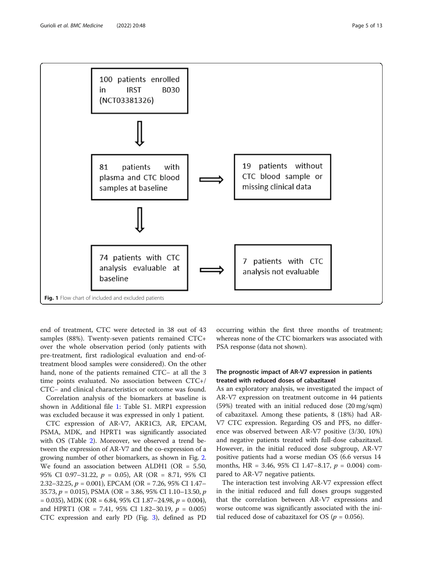<span id="page-4-0"></span>

end of treatment, CTC were detected in 38 out of 43 samples (88%). Twenty-seven patients remained CTC+ over the whole observation period (only patients with pre-treatment, first radiological evaluation and end-oftreatment blood samples were considered). On the other hand, none of the patients remained CTC− at all the 3 time points evaluated. No association between CTC+/ CTC− and clinical characteristics or outcome was found.

Correlation analysis of the biomarkers at baseline is shown in Additional file [1](#page-9-0): Table S1. MRP1 expression was excluded because it was expressed in only 1 patient.

CTC expression of AR-V7, AKR1C3, AR, EPCAM, PSMA, MDK, and HPRT1 was significantly associated with OS (Table [2](#page-6-0)). Moreover, we observed a trend between the expression of AR-V7 and the co-expression of a growing number of other biomarkers, as shown in Fig. [2](#page-7-0). We found an association between ALDH1 (OR = 5.50, 95% CI 0.97–31.22, p = 0.05), AR (OR = 8.71, 95% CI 2.32–32.25, p = 0.001), EPCAM (OR = 7.26, 95% CI 1.47– 35.73,  $p = 0.015$ ), PSMA (OR = 3.86, 95% CI 1.10–13.50,  $p$  $= 0.035$ ), MDK (OR  $= 6.84$ , 95% CI 1.87–24.98,  $p = 0.004$ ), and HPRT1 (OR = 7.41, 95% CI 1.82–30.19,  $p = 0.005$ ) CTC expression and early PD (Fig. [3](#page-8-0)), defined as PD occurring within the first three months of treatment; whereas none of the CTC biomarkers was associated with PSA response (data not shown).

# The prognostic impact of AR-V7 expression in patients treated with reduced doses of cabazitaxel

As an exploratory analysis, we investigated the impact of AR-V7 expression on treatment outcome in 44 patients (59%) treated with an initial reduced dose (20 mg/sqm) of cabazitaxel. Among these patients, 8 (18%) had AR-V7 CTC expression. Regarding OS and PFS, no difference was observed between AR-V7 positive (3/30, 10%) and negative patients treated with full-dose cabazitaxel. However, in the initial reduced dose subgroup, AR-V7 positive patients had a worse median OS (6.6 versus 14 months, HR = 3.46, 95% CI 1.47-8.17,  $p = 0.004$ ) compared to AR-V7 negative patients.

The interaction test involving AR-V7 expression effect in the initial reduced and full doses groups suggested that the correlation between AR-V7 expressions and worse outcome was significantly associated with the initial reduced dose of cabazitaxel for OS ( $p = 0.056$ ).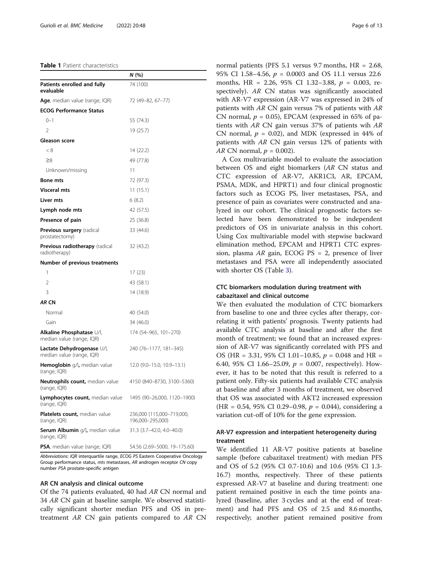#### <span id="page-5-0"></span>Table 1 Patient characteristics

|                                                         | N (%)                                         |
|---------------------------------------------------------|-----------------------------------------------|
| Patients enrolled and fully<br>evaluable                | 74 (100)                                      |
| <b>Age</b> , median value (range, IQR)                  | 72 (49-82, 67-77)                             |
| <b>ECOG Performance Status</b>                          |                                               |
| $() - 1$                                                | 55 (74.3)                                     |
| $\mathfrak{D}$                                          | 19 (25.7)                                     |
| Gleason score                                           |                                               |
| < 8                                                     | 14 (22.2)                                     |
| ≥8                                                      | 49 (77.8)                                     |
| Unknown/missing                                         | 11                                            |
| <b>Bone mts</b>                                         | 72 (97.3)                                     |
| <b>Visceral mts</b>                                     | 11 (15.1)                                     |
| Liver mts                                               | 6(8.2)                                        |
| Lymph node mts                                          | 42 (57.5)                                     |
| Presence of pain                                        | 25 (36.8)                                     |
| <b>Previous surgery</b> (radical<br>prostatectomy)      | 33 (44.6)                                     |
| <b>Previous radiotherapy</b> (radical<br>radiotherapy)  | 32 (43.2)                                     |
| <b>Number of previous treatments</b>                    |                                               |
| 1                                                       | 17 (23)                                       |
| $\overline{2}$                                          | 43 (58.1)                                     |
| 3                                                       | 14 (18.9)                                     |
| AR CN                                                   |                                               |
| Normal                                                  | 40 (54.0)                                     |
| Gain                                                    | 34 (46.0)                                     |
| Alkaline Phosphatase U/l,<br>median value (range, IQR)  | 174 (54–965, 101–270)                         |
| Lactate Dehydrogenase U/l,<br>median value (range, IQR) | 240 (76-1177, 181-345)                        |
| <b>Hemoglobin</b> g/l, median value<br>(range, IQR)     | 12.0 (9.0–15.0, 10.9–13.1)                    |
| Neutrophils count, median value<br>(range, IQR)         | 4150 (840-8730, 3100-5360)                    |
| Lymphocytes count, median value<br>(range, IQR)         | 1495 (90-26,000, 1120-1900)                   |
| Platelets count, median value<br>(range, IQR)           | 236,000 (115,000-719,000,<br>196,000-295,000) |
| <b>Serum Albumin</b> g/l, median value<br>(range, IQR)  | 31.3 (3.7–42.0, 4.0–40.0)                     |
| PSA, median value (range, IQR)                          | 54.56 (2.69-5000, 19-175.60)                  |

Abbreviations: IQR interquartile range, ECOG PS Eastern Cooperative Oncology Group performance status, mts metastases, AR androgen receptor CN copy number PSA prostate-specific antigen

# AR CN analysis and clinical outcome

Of the 74 patients evaluated, 40 had AR CN normal and <sup>34</sup> AR CN gain at baseline sample. We observed statistically significant shorter median PFS and OS in pretreatment AR CN gain patients compared to AR CN normal patients (PFS 5.1 versus 9.7 months, HR = 2.68, 95% CI 1.58–4.56,  $p = 0.0003$  and OS 11.1 versus 22.6 months, HR = 2.26, 95% CI 1.32-3.88,  $p = 0.003$ , respectively). AR CN status was significantly associated with AR-V7 expression (AR-V7 was expressed in 24% of patients with AR CN gain versus 7% of patients with AR CN normal,  $p = 0.05$ ), EPCAM (expressed in 65% of patients with AR CN gain versus 37% of patients wih AR CN normal,  $p = 0.02$ ), and MDK (expressed in 44% of patients with AR CN gain versus 12% of patients with AR CN normal,  $p = 0.002$ ).

A Cox multivariable model to evaluate the association between OS and eight biomarkers (AR CN status and CTC expression of AR-V7, AKR1C3, AR, EPCAM, PSMA, MDK, and HPRT1) and four clinical prognostic factors such as ECOG PS, liver metastases, PSA, and presence of pain as covariates were constructed and analyzed in our cohort. The clinical prognostic factors selected have been demonstrated to be independent predictors of OS in univariate analysis in this cohort. Using Cox multivariable model with stepwise backward elimination method, EPCAM and HPRT1 CTC expression, plasma  $AR$  gain, ECOG PS = 2, presence of liver metastases and PSA were all independently associated with shorter OS (Table [3](#page-8-0)).

# CTC biomarkers modulation during treatment with cabazitaxel and clinical outcome

We then evaluated the modulation of CTC biomarkers from baseline to one and three cycles after therapy, correlating it with patients' prognosis. Twenty patients had available CTC analysis at baseline and after the first month of treatment; we found that an increased expression of AR-V7 was significantly correlated with PFS and OS (HR = 3.31, 95% CI 1.01–10.85,  $p = 0.048$  and HR = 6.40, 95% CI 1.66-25.09,  $p = 0.007$ , respectively). However, it has to be noted that this result is referred to a patient only. Fifty-six patients had available CTC analysis at baseline and after 3 months of treatment, we observed that OS was associated with AKT2 increased expression (HR = 0.54, 95% CI 0.29–0.98,  $p = 0.044$ ), considering a variation cut-off of 10% for the gene expression.

# AR-V7 expression and interpatient heterogeneity during treatment

We identified 11 AR-V7 positive patients at baseline sample (before cabazitaxel treatment) with median PFS and OS of 5.2 (95% CI 0.7-10.6) and 10.6 (95% CI 1.3- 16.7) months, respectively. Three of these patients expressed AR-V7 at baseline and during treatment: one patient remained positive in each the time points analyzed (baseline, after 3 cycles and at the end of treatment) and had PFS and OS of 2.5 and 8.6 months, respectively; another patient remained positive from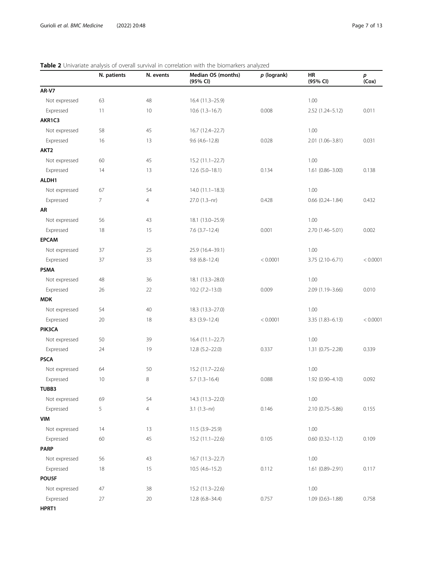|                  | N. patients | N. events      | Median OS (months)<br>(95% CI) | $p$ (logrank) | HR<br>(95% CI)         | p<br>(Cox) |
|------------------|-------------|----------------|--------------------------------|---------------|------------------------|------------|
| <b>AR-V7</b>     |             |                |                                |               |                        |            |
| Not expressed    | 63          | 48             | 16.4 (11.3-25.9)               |               | 1.00                   |            |
| Expressed        | 11          | 10             | $10.6(1.3-16.7)$               | 0.008         | 2.52 (1.24-5.12)       | 0.011      |
| AKR1C3           |             |                |                                |               |                        |            |
| Not expressed    | 58          | 45             | 16.7 (12.4-22.7)               |               | 1.00                   |            |
| Expressed        | 16          | 13             | $9.6(4.6 - 12.8)$              | 0.028         | 2.01 (1.06-3.81)       | 0.031      |
| AKT <sub>2</sub> |             |                |                                |               |                        |            |
| Not expressed    | 60          | 45             | 15.2 (11.1-22.7)               |               | 1.00                   |            |
| Expressed        | 14          | 13             | $12.6(5.0-18.1)$               | 0.134         | $1.61(0.86 - 3.00)$    | 0.138      |
| ALDH1            |             |                |                                |               |                        |            |
| Not expressed    | 67          | 54             | $14.0(11.1 - 18.3)$            |               | 1.00                   |            |
| Expressed        | 7           | $\overline{4}$ | 27.0 (1.3-nr)                  | 0.428         | $0.66$ $(0.24 - 1.84)$ | 0.432      |
| AR               |             |                |                                |               |                        |            |
| Not expressed    | 56          | 43             | 18.1 (13.0-25.9)               |               |                        |            |
| Expressed        | 18          | 15             | $7.6(3.7-12.4)$                | 0.001         | 2.70 (1.46-5.01)       | 0.002      |
| <b>EPCAM</b>     |             |                |                                |               |                        |            |
| Not expressed    | 37          | 25             | 25.9 (16.4-39.1)               |               | 1.00                   |            |
| Expressed        | 37          | 33             | $9.8(6.8 - 12.4)$              | < 0.0001      | 3.75 (2.10-6.71)       | < 0.0001   |
| <b>PSMA</b>      |             |                |                                |               |                        |            |
| Not expressed    | 48          | 36             | 18.1 (13.3-28.0)               |               | 1.00                   |            |
| Expressed        | 26          | 22             | $10.2 (7.2 - 13.0)$            | 0.009         | 2.09 (1.19-3.66)       | 0.010      |
| <b>MDK</b>       |             |                |                                |               |                        |            |
| Not expressed    | 54          | 40             | 18.3 (13.3 - 27.0)             |               | 1.00                   |            |
| Expressed        | 20          | 18             | $8.3(3.9-12.4)$                | < 0.0001      | $3.35(1.83 - 6.13)$    | < 0.0001   |
| PIK3CA           |             |                |                                |               |                        |            |
| Not expressed    | 50          | 39             | $16.4(11.1-22.7)$              |               | 1.00                   |            |
| Expressed        | 24          | 19             | 12.8 (5.2-22.0)                | 0.337         | 1.31 (0.75-2.28)       | 0.339      |
| <b>PSCA</b>      |             |                |                                |               |                        |            |
| Not expressed    | 64          | 50             | 15.2 (11.7-22.6)               |               | 1.00                   |            |
| Expressed        | 10          | 8              | $5.7(1.3-16.4)$                | 0.088         | 1.92 (0.90-4.10)       | 0.092      |
| TUBB3            |             |                |                                |               |                        |            |
| Not expressed    | 69          | 54             | 14.3 (11.3-22.0)               |               | 1.00                   |            |
| Expressed        | 5           | 4              | $3.1(1.3-nr)$                  | 0.146         | 2.10 (0.75-5.86)       | 0.155      |
| VIM              |             |                |                                |               |                        |            |
| Not expressed    | 14          | 13             | 11.5 (3.9-25.9)                |               | 1.00                   |            |
| Expressed        | 60          | 45             | 15.2 (11.1-22.6)               | 0.105         | $0.60$ $(0.32 - 1.12)$ | 0.109      |
| <b>PARP</b>      |             |                |                                |               |                        |            |
| Not expressed    | 56          | 43             | 16.7 (11.3-22.7)               |               | 1.00                   |            |
| Expressed        | 18          | 15             | $10.5(4.6 - 15.2)$             | 0.112         | 1.61 (0.89-2.91)       | 0.117      |
| POU5F            |             |                |                                |               |                        |            |
| Not expressed    | 47          | 38             | 15.2 (11.3-22.6)               |               | 1.00                   |            |
| Expressed        | $27\,$      | $20\,$         | 12.8 (6.8-34.4)                | 0.757         | 1.09 (0.63-1.88)       | 0.758      |
| HPRT1            |             |                |                                |               |                        |            |

# <span id="page-6-0"></span>Table 2 Univariate analysis of overall survival in correlation with the biomarkers analyzed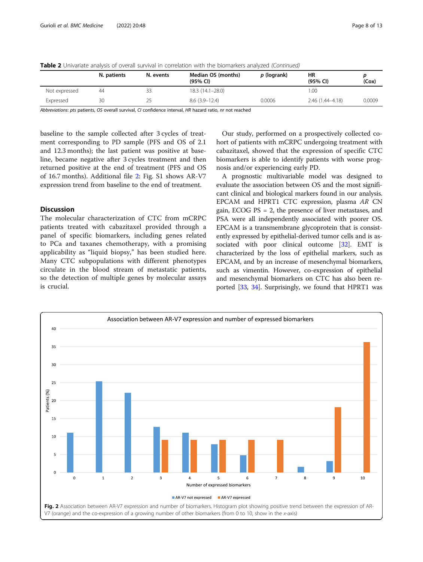<span id="page-7-0"></span>

| Table 2 Univariate analysis of overall survival in correlation with the biomarkers analyzed (Continued) |  |
|---------------------------------------------------------------------------------------------------------|--|
|---------------------------------------------------------------------------------------------------------|--|

|               | N. patients | N. events | Median OS (months)<br>(95% CI) | p (logrank) | HR<br>(95% CI)   | (Cox)  |
|---------------|-------------|-----------|--------------------------------|-------------|------------------|--------|
| Not expressed | 44          | ≺≺        | $18.3(14.1-28.0)$              |             | 1.00             |        |
| Expressed     | 30          |           | $8.6(3.9-12.4)$                | 0.0006      | 2.46 (1.44–4.18) | 0.0009 |

Abbreviations: pts patients, OS overall survival, CI confidence interval, HR hazard ratio, nr not reached

baseline to the sample collected after 3 cycles of treatment corresponding to PD sample (PFS and OS of 2.1 and 12.3 months); the last patient was positive at baseline, became negative after 3 cycles treatment and then returned positive at the end of treatment (PFS and OS of 16.7 months). Additional file [2:](#page-9-0) Fig. S1 shows AR-V7 expression trend from baseline to the end of treatment.

# **Discussion**

The molecular characterization of CTC from mCRPC patients treated with cabazitaxel provided through a panel of specific biomarkers, including genes related to PCa and taxanes chemotherapy, with a promising applicability as "liquid biopsy," has been studied here. Many CTC subpopulations with different phenotypes circulate in the blood stream of metastatic patients, so the detection of multiple genes by molecular assays is crucial.

Our study, performed on a prospectively collected cohort of patients with mCRPC undergoing treatment with cabazitaxel, showed that the expression of specific CTC biomarkers is able to identify patients with worse prognosis and/or experiencing early PD.

A prognostic multivariable model was designed to evaluate the association between OS and the most significant clinical and biological markers found in our analysis. EPCAM and HPRT1 CTC expression, plasma AR CN gain, ECOG PS = 2, the presence of liver metastases, and PSA were all independently associated with poorer OS. EPCAM is a transmembrane glycoprotein that is consistently expressed by epithelial-derived tumor cells and is associated with poor clinical outcome [\[32\]](#page-11-0). EMT is characterized by the loss of epithelial markers, such as EPCAM, and by an increase of mesenchymal biomarkers, such as vimentin. However, co-expression of epithelial and mesenchymal biomarkers on CTC has also been reported [\[33,](#page-11-0) [34\]](#page-11-0). Surprisingly, we found that HPRT1 was

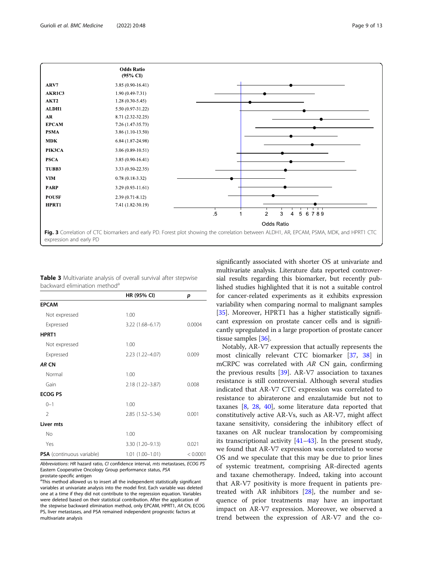<span id="page-8-0"></span>

| Table 3 Multivariate analysis of overall survival after stepwise |  |  |  |
|------------------------------------------------------------------|--|--|--|
| backward elimination method <sup>a</sup>                         |  |  |  |

|                                  | HR (95% CI)         | p        |
|----------------------------------|---------------------|----------|
| <b>EPCAM</b>                     |                     |          |
| Not expressed                    | 1.00                |          |
| Expressed                        | $3.22(1.68 - 6.17)$ | 0.0004   |
| HPRT1                            |                     |          |
| Not expressed                    | 1.00                |          |
| Expressed                        | 2.23 (1.22-4.07)    | 0.009    |
| AR CN                            |                     |          |
| Normal                           | 1.00                |          |
| Gain                             | 2.18 (1.22-3.87)    | 0.008    |
| <b>ECOG PS</b>                   |                     |          |
| $0 - 1$                          | 1.00                |          |
| $\mathfrak{D}$                   | 2.85 (1.52-5.34)    | 0.001    |
| Liver mts                        |                     |          |
| <b>No</b>                        | 1.00                |          |
| Yes                              | 3.30 (1.20-9.13)    | 0.021    |
| <b>PSA</b> (continuous variable) | $1.01(1.00 - 1.01)$ | < 0.0001 |

Abbreviations: HR hazard ratio, CI confidence interval, mts metastases, ECOG PS Eastern Cooperative Oncology Group performance status, PSA prostate-specific antigen

<sup>a</sup>This method allowed us to insert all the independent statistically significant variables at univariate analysis into the model first. Each variable was deleted one at a time if they did not contribute to the regression equation. Variables were deleted based on their statistical contribution. After the application of the stepwise backward elimination method, only EPCAM, HPRT1, AR CN, ECOG PS, liver metastases, and PSA remained independent prognostic factors at multivariate analysis

significantly associated with shorter OS at univariate and multivariate analysis. Literature data reported controversial results regarding this biomarker, but recently published studies highlighted that it is not a suitable control for cancer-related experiments as it exhibits expression variability when comparing normal to malignant samples [[35](#page-11-0)]. Moreover, HPRT1 has a higher statistically significant expression on prostate cancer cells and is significantly upregulated in a large proportion of prostate cancer tissue samples [\[36\]](#page-11-0).

Notably, AR-V7 expression that actually represents the most clinically relevant CTC biomarker [\[37,](#page-11-0) [38\]](#page-11-0) in mCRPC was correlated with AR CN gain, confirming the previous results [[39\]](#page-11-0). AR-V7 association to taxanes resistance is still controversial. Although several studies indicated that AR-V7 CTC expression was correlated to resistance to abiraterone and enzalutamide but not to taxanes [\[8](#page-10-0), [28,](#page-11-0) [40\]](#page-11-0), some literature data reported that constitutively active AR-Vs, such as AR-V7, might affect taxane sensitivity, considering the inhibitory effect of taxanes on AR nuclear translocation by compromising its transcriptional activity  $[41-43]$  $[41-43]$  $[41-43]$ . In the present study, we found that AR-V7 expression was correlated to worse OS and we speculate that this may be due to prior lines of systemic treatment, comprising AR-directed agents and taxane chemotherapy. Indeed, taking into account that AR-V7 positivity is more frequent in patients pretreated with AR inhibitors [\[28\]](#page-11-0), the number and sequence of prior treatments may have an important impact on AR-V7 expression. Moreover, we observed a trend between the expression of AR-V7 and the co-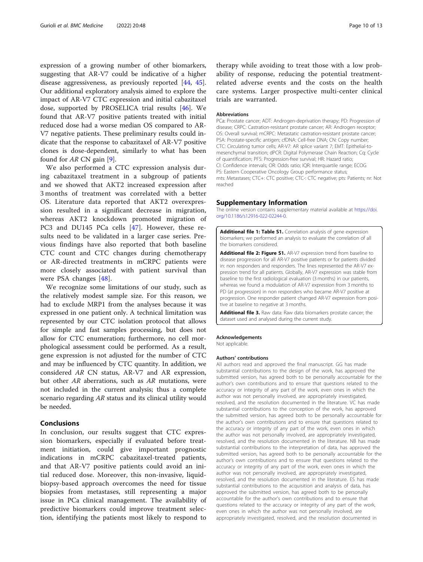<span id="page-9-0"></span>expression of a growing number of other biomarkers, suggesting that AR-V7 could be indicative of a higher disease aggressiveness, as previously reported [\[44](#page-11-0), [45](#page-11-0)]. Our additional exploratory analysis aimed to explore the impact of AR-V7 CTC expression and initial cabazitaxel dose, supported by PROSELICA trial results [\[46\]](#page-12-0). We found that AR-V7 positive patients treated with initial reduced dose had a worse median OS compared to AR-V7 negative patients. These preliminary results could indicate that the response to cabazitaxel of AR-V7 positive clones is dose-dependent, similarly to what has been found for  $AR \, CN \, gain \, [9]$  $AR \, CN \, gain \, [9]$ .

We also performed a CTC expression analysis during cabazitaxel treatment in a subgroup of patients and we showed that AKT2 increased expression after 3 months of treatment was correlated with a better OS. Literature data reported that AKT2 overexpression resulted in a significant decrease in migration, whereas AKT2 knockdown promoted migration of PC3 and DU145 PCa cells [\[47](#page-12-0)]. However, these results need to be validated in a larger case series. Previous findings have also reported that both baseline CTC count and CTC changes during chemotherapy or AR-directed treatments in mCRPC patients were more closely associated with patient survival than were PSA changes [\[48](#page-12-0)].

We recognize some limitations of our study, such as the relatively modest sample size. For this reason, we had to exclude MRP1 from the analyses because it was expressed in one patient only. A technical limitation was represented by our CTC isolation protocol that allows for simple and fast samples processing, but does not allow for CTC enumeration; furthermore, no cell morphological assessment could be performed. As a result, gene expression is not adjusted for the number of CTC and may be influenced by CTC quantity. In addition, we considered AR CN status, AR-V7 and AR expression, but other AR aberrations, such as AR mutations, were not included in the current analysis; thus a complete scenario regarding AR status and its clinical utility would be needed.

# Conclusions

In conclusion, our results suggest that CTC expression biomarkers, especially if evaluated before treatment initiation, could give important prognostic indications in mCRPC cabazitaxel-treated patients, and that AR-V7 positive patients could avoid an initial reduced dose. Moreover, this non-invasive, liquidbiopsy-based approach overcomes the need for tissue biopsies from metastases, still representing a major issue in PCa clinical management. The availability of predictive biomarkers could improve treatment selection, identifying the patients most likely to respond to

therapy while avoiding to treat those with a low probability of response, reducing the potential treatmentrelated adverse events and the costs on the health care systems. Larger prospective multi-center clinical trials are warranted.

#### Abbreviations

PCa: Prostate cancer; ADT: Androgen-deprivation therapy; PD: Progression of disease; CRPC: Castration-resistant prostate cancer; AR: Androgen receptor; OS: Overall survival; mCRPC: Metastatic castration-resistant prostate cancer; PSA: Prostate-specific antigen; cfDNA: Cell-free DNA; CN: Copy number; CTC: Circulating tumor cells; AR-V7: AR splice variant 7; EMT: Epithelial-tomesenchymal transition; dPCR: Digital Polymerase Chain Reaction; Cq: Cycle of quantification; PFS: Progression-free survival; HR: Hazard ratio; CI: Confidence intervals; OR: Odds ratio; IQR: Interquartile range; ECOG PS: Eastern Cooperative Oncology Group performance status; mts: Metastases; CTC+: CTC positive; CTC-: CTC negative; pts: Patients; nr: Not reached

### Supplementary Information

The online version contains supplementary material available at [https://doi.](https://doi.org/10.1186/s12916-022-02244-0) [org/10.1186/s12916-022-02244-0.](https://doi.org/10.1186/s12916-022-02244-0)

Additional file 1: Table S1. Correlation analysis of gene expression biomarkers; we performed an analysis to evaluate the correlation of all the biomarkers considered.

Additional file 2: Figure S1. AR-V7 expression trend from baseline to disease progression for all AR-V7 positive patients or for patients divided in: non responders and responders. The lines represented the AR-V7 expression trend for all patients. Globally, AR-V7 expression was stable from baseline to the first radiological evaluation (3 months) in our patients, whereas we found a modulation of AR-V7 expression from 3 months to PD (at progression) in non responders who became AR-V7 positive at progression. One responder patient changed AR-V7 expression from positive at baseline to negative at 3 months.

Additional file 3. Raw data: Raw data biomarkers prostate cancer; the dataset used and analysed during the current study.

#### Acknowledgements

Not applicable.

#### Authors' contributions

All authors read and approved the final manuscript. GG has made substantial contributions to the design of the work, has approved the submitted version, has agreed both to be personally accountable for the author's own contributions and to ensure that questions related to the accuracy or integrity of any part of the work, even ones in which the author was not personally involved, are appropriately investigated, resolved, and the resolution documented in the literature. VC has made substantial contributions to the conception of the work, has approved the submitted version, has agreed both to be personally accountable for the author's own contributions and to ensure that questions related to the accuracy or integrity of any part of the work, even ones in which the author was not personally involved, are appropriately investigated, resolved, and the resolution documented in the literature. NB has made substantial contributions to the interpretation of data, has approved the submitted version, has agreed both to be personally accountable for the author's own contributions and to ensure that questions related to the accuracy or integrity of any part of the work, even ones in which the author was not personally involved, are appropriately investigated, resolved, and the resolution documented in the literature. ES has made substantial contributions to the acquisition and analysis of data, has approved the submitted version, has agreed both to be personally accountable for the author's own contributions and to ensure that questions related to the accuracy or integrity of any part of the work, even ones in which the author was not personally involved, are appropriately investigated, resolved, and the resolution documented in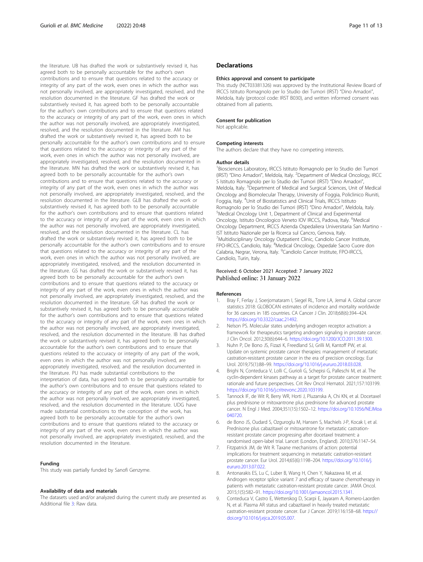<span id="page-10-0"></span>the literature. UB has drafted the work or substantively revised it, has agreed both to be personally accountable for the author's own contributions and to ensure that questions related to the accuracy or integrity of any part of the work, even ones in which the author was not personally involved, are appropriately investigated, resolved, and the resolution documented in the literature. GF has drafted the work or substantively revised it, has agreed both to be personally accountable for the author's own contributions and to ensure that questions related to the accuracy or integrity of any part of the work, even ones in which the author was not personally involved, are appropriately investigated, resolved, and the resolution documented in the literature. AM has drafted the work or substantively revised it, has agreed both to be personally accountable for the author's own contributions and to ensure that questions related to the accuracy or integrity of any part of the work, even ones in which the author was not personally involved, are appropriately investigated, resolved, and the resolution documented in the literature. MN has drafted the work or substantively revised it, has agreed both to be personally accountable for the author's own contributions and to ensure that questions related to the accuracy or integrity of any part of the work, even ones in which the author was not personally involved, are appropriately investigated, resolved, and the resolution documented in the literature. GLB has drafted the work or substantively revised it, has agreed both to be personally accountable for the author's own contributions and to ensure that questions related to the accuracy or integrity of any part of the work, even ones in which the author was not personally involved, are appropriately investigated, resolved, and the resolution documented in the literature. CL has drafted the work or substantively revised it, has agreed both to be personally accountable for the author's own contributions and to ensure that questions related to the accuracy or integrity of any part of the work, even ones in which the author was not personally involved, are appropriately investigated, resolved, and the resolution documented in the literature. GS has drafted the work or substantively revised it, has agreed both to be personally accountable for the author's own contributions and to ensure that questions related to the accuracy or integrity of any part of the work, even ones in which the author was not personally involved, are appropriately investigated, resolved, and the resolution documented in the literature. GR has drafted the work or substantively revised it, has agreed both to be personally accountable for the author's own contributions and to ensure that questions related to the accuracy or integrity of any part of the work, even ones in which the author was not personally involved, are appropriately investigated, resolved, and the resolution documented in the literature. IB has drafted the work or substantively revised it, has agreed both to be personally accountable for the author's own contributions and to ensure that questions related to the accuracy or integrity of any part of the work, even ones in which the author was not personally involved, are appropriately investigated, resolved, and the resolution documented in the literature. PU has made substantial contributions to the interpretation of data, has agreed both to be personally accountable for the author's own contributions and to ensure that questions related to the accuracy or integrity of any part of the work, even ones in which the author was not personally involved, are appropriately investigated, resolved, and the resolution documented in the literature. UDG have made substantial contributions to the conception of the work, has agreed both to be personally accountable for the author's own contributions and to ensure that questions related to the accuracy or integrity of any part of the work, even ones in which the author was not personally involved, are appropriately investigated, resolved, and the resolution documented in the literature.

# Funding

This study was partially funded by Sanofi Genzyme.

#### Availability of data and materials

The datasets used and/or analyzed during the current study are presented as Additional file [3](#page-9-0): Raw data.

# **Declarations**

#### Ethics approval and consent to participate

This study (NCT03381326) was approved by the Institutional Review Board of IRCCS Istituto Romagnolo per lo Studio dei Tumori (IRST) "Dino Amadori", Meldola, Italy (protocol code: IRST B030), and written informed consent was obtained from all patients.

#### Consent for publication

Not applicable.

#### Competing interests

The authors declare that they have no competing interests.

#### Author details

<sup>1</sup> Biosciences Laboratory, IRCCS Istituto Romagnolo per lo Studio dei Tumori (IRST) "Dino Amadori", Meldola, Italy. <sup>2</sup> Department of Medical Oncology, IRCC S Istituto Romagnolo per lo Studio dei Tumori (IRST) "Dino Amadori", Meldola, Italy. <sup>3</sup>Department of Medical and Surgical Sciences, Unit of Medical Oncology and Biomolecular Therapy, University of Foggia, Policlinico Riuniti, Foggia, Italy. <sup>4</sup>Unit of Biostatistics and Clinical Trials, IRCCS Istituto Romagnolo per lo Studio dei Tumori (IRST) "Dino Amadori", Meldola, Italy. <sup>5</sup>Medical Oncology Unit 1, Department of Clinical and Experimental Oncology, Istituto Oncologico Veneto IOV IRCCS, Padova, Italy. <sup>6</sup>Medical Oncology Department, IRCCS Azienda Ospedaliera Universitaria San Martino - IST Istituto Nazionale per la Ricerca sul Cancro, Genova, Italy. <sup>7</sup> Multidisciplinary Oncology Outpatient Clinic, Candiolo Cancer Institute FPO-IRCCS, Candiolo, Italy. <sup>8</sup>Medical Oncology, Ospedale Sacro Cuore don Calabria, Negrar, Verona, Italy. <sup>9</sup>Candiolo Cancer Institute, FPO-IRCCS, Candiolo, Turin, Italy.

# Received: 6 October 2021 Accepted: 7 January 2022 Published online: 31 January 2022

#### References

- 1. Bray F, Ferlay J, Soerjomataram I, Siegel RL, Torre LA, Jemal A. Global cancer statistics 2018: GLOBOCAN estimates of incidence and mortality worldwide for 36 cancers in 185 countries. CA Cancer J Clin. 2018;68(6):394–424. [https://doi.org/10.3322/caac.21492.](https://doi.org/10.3322/caac.21492)
- Nelson PS. Molecular states underlying androgen receptor activation: a framework for therapeutics targeting androgen signaling in prostate cancer. J Clin Oncol. 2012;30(6):644–6. <https://doi.org/10.1200/JCO.2011.39.1300>.
- 3. Nuhn P, De Bono JS, Fizazi K, Freedland SJ, Grilli M, Kantoff PW, et al. Update on systemic prostate cancer therapies: management of metastatic castration-resistant prostate cancer in the era of precision oncology. Eur Urol. 2019;75(1):88–99. <https://doi.org/10.1016/j.eururo.2018.03.028>.
- 4. Brighi N, Conteduca V, Lolli C, Gurioli G, Schepisi G, Palleschi M, et al. The cyclin-dependent kinases pathway as a target for prostate cancer treatment: rationale and future perspectives. Crit Rev Oncol Hematol. 2021;157:103199. <https://doi.org/10.1016/j.critrevonc.2020.103199>.
- Tannock IF, de Wit R, Berry WR, Horti J, Pluzanska A, Chi KN, et al. Docetaxel plus prednisone or mitoxantrone plus prednisone for advanced prostate cancer. N Engl J Med. 2004;351(15):1502–12. [https://doi.org/10.1056/NEJMoa](https://doi.org/10.1056/NEJMoa040720) [040720](https://doi.org/10.1056/NEJMoa040720).
- 6. de Bono JS, Oudard S, Ozguroglu M, Hansen S, Machiels J-P, Kocak I, et al. Prednisone plus cabazitaxel or mitoxantrone for metastatic castrationresistant prostate cancer progressing after docetaxel treatment: a randomised open-label trial. Lancet (London, England). 2010;376:1147–54.
- 7. Fitzpatrick JM, de Wit R. Taxane mechanisms of action: potential implications for treatment sequencing in metastatic castration-resistant prostate cancer. Eur Urol. 2014;65(6):1198–204. [https://doi.org/10.1016/j.](https://doi.org/10.1016/j.eururo.2013.07.022) [eururo.2013.07.022.](https://doi.org/10.1016/j.eururo.2013.07.022)
- 8. Antonarakis ES, Lu C, Luber B, Wang H, Chen Y, Nakazawa M, et al. Androgen receptor splice variant 7 and efficacy of taxane chemotherapy in patients with metastatic castration-resistant prostate cancer. JAMA Oncol. 2015;1(5):582–91. [https://doi.org/10.1001/jamaoncol.2015.1341.](https://doi.org/10.1001/jamaoncol.2015.1341)
- 9. Conteduca V, Castro E, Wetterskog D, Scarpi E, Jayaram A, Romero-Laorden N, et al. Plasma AR status and cabazitaxel in heavily treated metastatic castration-resistant prostate cancer. Eur J Cancer. 2019;116:158–68. [https://](https://doi.org/10.1016/j.ejca.2019.05.007) [doi.org/10.1016/j.ejca.2019.05.007](https://doi.org/10.1016/j.ejca.2019.05.007).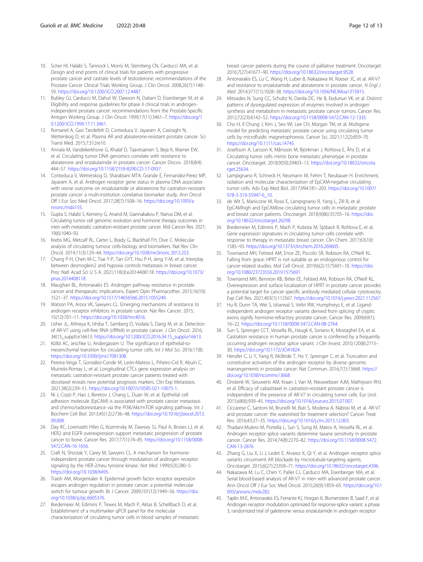- <span id="page-11-0"></span>10. Scher HI, Halabi S, Tannock I, Morris M, Sternberg CN, Carducci MA, et al. Design and end points of clinical trials for patients with progressive prostate cancer and castrate levels of testosterone: recommendations of the Prostate Cancer Clinical Trials Working Group. J Clin Oncol. 2008;26(7):1148– 59. [https://doi.org/10.1200/JCO.2007.12.4487.](https://doi.org/10.1200/JCO.2007.12.4487)
- 11. Bubley GJ, Carducci M, Dahut W, Dawson N, Daliani D, Eisenberger M, et al. Eligibility and response guidelines for phase II clinical trials in androgenindependent prostate cancer: recommendations from the Prostate-Specific Antigen Working Group. J Clin Oncol. 1999;17(11):3461–7. [https://doi.org/1](https://doi.org/10.1200/JCO.1999.17.11.3461) [0.1200/JCO.1999.17.11.3461](https://doi.org/10.1200/JCO.1999.17.11.3461).
- 12. Romanel A, Gasi Tandefelt D, Conteduca V, Jayaram A, Casiraghi N, Wetterskog D, et al. Plasma AR and abiraterone-resistant prostate cancer. Sci Transl Med. 2015;7:312re10.
- 13. Annala M, Vandekerkhove G, Khalaf D, Taavitsainen S, Beja K, Warner EW, et al. Circulating tumor DNA genomics correlate with resistance to abiraterone and enzalutamide in prostate cancer. Cancer Discov. 2018;8(4): 444–57. [https://doi.org/10.1158/2159-8290.CD-17-0937.](https://doi.org/10.1158/2159-8290.CD-17-0937)
- 14. Conteduca V, Wetterskog D, Sharabiani MTA, Grande E, Fernandez-Perez MP, Jayaram A, et al. Androgen receptor gene status in plasma DNA associates with worse outcome on enzalutamide or abiraterone for castration-resistant prostate cancer: a multi-institution correlative biomarker study. Ann Oncol Off J Eur Soc Med Oncol. 2017;28(7):1508–16. [https://doi.org/10.1093/a](https://doi.org/10.1093/annonc/mdx155) [nnonc/mdx155](https://doi.org/10.1093/annonc/mdx155).
- 15. Gupta S, Halabi S, Kemeny G, Anand M, Giannakakou P, Nanus DM, et al. Circulating tumor cell genomic evolution and hormone therapy outcomes in men with metastatic castration-resistant prostate cancer. Mol Cancer Res. 2021; 19(6):1040–50.
- 16. Krebs MG, Metcalf RL, Carter L, Brady G, Blackhall FH, Dive C. Molecular analysis of circulating tumour cells-biology and biomarkers. Nat Rev Clin Oncol. 2014;11(3):129–44. [https://doi.org/10.1038/nrclinonc.2013.253.](https://doi.org/10.1038/nrclinonc.2013.253)
- 17. Chang P-H, Chen M-C, Tsai Y-P, Tan GYT, Hsu P-H, Jeng Y-M, et al. Interplay between desmoglein2 and hypoxia controls metastasis in breast cancer. Proc Natl Acad Sci U S A. 2021;118(3):e2014408118. [https://doi.org/10.1073/](https://doi.org/10.1073/pnas.2014408118) [pnas.2014408118](https://doi.org/10.1073/pnas.2014408118).
- 18. Maughan BL, Antonarakis ES. Androgen pathway resistance in prostate cancer and therapeutic implications. Expert Opin Pharmacother. 2015;16(10): 1521–37. <https://doi.org/10.1517/14656566.2015.1055249>.
- 19. Watson PA, Arora VK, Sawyers CL. Emerging mechanisms of resistance to androgen receptor inhibitors in prostate cancer. Nat Rev Cancer. 2015; 15(12):701–11. <https://doi.org/10.1038/nrc4016>.
- 20. Usher JL, Athreya K, Ishiba T, Samberg D, Vodala S, Dang M, et al. Detection of AR-V7 using cell-free RNA (cfRNA) in prostate cancer. J Clin Oncol. 2016; 34(15\_suppl):e16613. [https://doi.org/10.1200/JCO.2016.34.15\\_suppl.e16613](https://doi.org/10.1200/JCO.2016.34.15_suppl.e16613).
- 21. Kölbl AC, Jeschke U, Andergassen U. The significance of epithelial-tomesenchymal transition for circulating tumor cells. Int J Mol Sci. 2016;17(8). [https://doi.org/10.3390/ijms17081308.](https://doi.org/10.3390/ijms17081308)
- 22. Pereira-Veiga T, González-Conde M, León-Mateos L, Piñeiro-Cid R, Abuín C, Muinelo-Romay L, et al. Longitudinal CTCs gene expression analysis on metastatic castration-resistant prostate cancer patients treated with docetaxel reveals new potential prognosis markers. Clin Exp Metastasis. 2021;38(2):239–51. <https://doi.org/10.1007/s10585-021-10075-1>.
- 23. Ni J, Cozzi P, Hao J, Beretov J, Chang L, Duan W, et al. Epithelial cell adhesion molecule (EpCAM) is associated with prostate cancer metastasis and chemo/radioresistance via the PI3K/Akt/mTOR signaling pathway. Int J Biochem Cell Biol. 2013;45(12):2736–48. [https://doi.org/10.1016/j.biocel.2013.](https://doi.org/10.1016/j.biocel.2013.09.008) [09.008.](https://doi.org/10.1016/j.biocel.2013.09.008)
- 24. Day KC, Lorenzatti Hiles G, Kozminsky M, Dawsey SJ, Paul A, Broses LJ, et al. HER2 and EGFR overexpression support metastatic progression of prostate cancer to bone. Cancer Res. 2017;77(1):74–85. [https://doi.org/10.1158/0008-](https://doi.org/10.1158/0008-5472.CAN-16-1656) [5472.CAN-16-1656.](https://doi.org/10.1158/0008-5472.CAN-16-1656)
- 25. Craft N, Shostak Y, Carey M, Sawyers CL. A mechanism for hormoneindependent prostate cancer through modulation of androgen receptor signaling by the HER-2/neu tyrosine kinase. Nat Med. 1999;5(3):280–5. [https://doi.org/10.1038/6495.](https://doi.org/10.1038/6495)
- 26. Traish AM, Morgentaler A. Epidermal growth factor receptor expression escapes androgen regulation in prostate cancer: a potential molecular switch for tumour growth. Br J Cancer. 2009;101(12):1949–56. [https://doi.](https://doi.org/10.1038/sj.bjc.6605376) [org/10.1038/sj.bjc.6605376.](https://doi.org/10.1038/sj.bjc.6605376)
- 27. Bredemeier M, Edimiris P, Tewes M, Mach P, Aktas B, Schellbach D, et al. Establishment of a multimarker qPCR panel for the molecular characterization of circulating tumor cells in blood samples of metastatic

breast cancer patients during the course of palliative treatment. Oncotarget. 2016;7(27):41677–90. <https://doi.org/10.18632/oncotarget.9528>.

- 28. Antonarakis ES, Lu C, Wang H, Luber B, Nakazawa M, Roeser JC, et al. AR-V7 and resistance to enzalutamide and abiraterone in prostate cancer. N Engl J Med. 2014;371(11):1028–38. [https://doi.org/10.1056/NEJMoa1315815.](https://doi.org/10.1056/NEJMoa1315815)
- 29. Mitsiades N, Sung CC, Schultz N, Danila DC, He B, Eedunuri VK, et al. Distinct patterns of dysregulated expression of enzymes involved in androgen synthesis and metabolism in metastatic prostate cancer tumors. Cancer Res. 2012;72(23):6142–52. [https://doi.org/10.1158/0008-5472.CAN-12-1335.](https://doi.org/10.1158/0008-5472.CAN-12-1335)
- 30. Cho H, Il Chung J, Kim J, Seo WI, Lee CH, Morgan TM, et al. Multigene model for predicting metastatic prostate cancer using circulating tumor cells by microfluidic magnetophoresis. Cancer Sci. 2021;112(2):859–70. <https://doi.org/10.1111/cas.14745>.
- 31. Josefsson A, Larsson K, Månsson M, Björkman J, Rohlova E, Åhs D, et al. Circulating tumor cells mirror bone metastatic phenotype in prostate cancer. Oncotarget. 2018;9(50):29403–13. [https://doi.org/10.18632/oncota](https://doi.org/10.18632/oncotarget.25634) [rget.25634](https://doi.org/10.18632/oncotarget.25634)
- 32. Lampignano R, Schneck H, Neumann M, Fehm T, Neubauer H. Enrichment, isolation and molecular characterization of EpCAM-negative circulating tumor cells. Adv Exp Med Biol. 2017;994:181–203. [https://doi.org/10.1007/](https://doi.org/10.1007/978-3-319-55947-6_10) [978-3-319-55947-6\\_10.](https://doi.org/10.1007/978-3-319-55947-6_10)
- 33. de Wit S, Manicone M, Rossi E, Lampignano R, Yang L, Zill B, et al. EpCAMhigh and EpCAMlow circulating tumor cells in metastatic prostate and breast cancer patients. Oncotarget. 2018;9(86):35705–16. [https://doi.](https://doi.org/10.18632/oncotarget.26298) [org/10.18632/oncotarget.26298.](https://doi.org/10.18632/oncotarget.26298)
- 34. Bredemeier M, Edimiris P, Mach P, Kubista M, Sjöback R, Rohlova E, et al. Gene expression signatures in circulating tumor cells correlate with response to therapy in metastatic breast cancer. Clin Chem. 2017;63(10): 1585–93. [https://doi.org/10.1373/clinchem.2016.269605.](https://doi.org/10.1373/clinchem.2016.269605)
- 35. Townsend MH, Felsted AM, Ence ZE, Piccolo SR, Robison RA, O'Neill KL. Falling from grace: HPRT is not suitable as an endogenous control for cancer-related studies. Mol Cell Oncol. 2019;6(2):1575691–10. [https://doi.](https://doi.org/10.1080/23723556.2019.1575691) [org/10.1080/23723556.2019.1575691](https://doi.org/10.1080/23723556.2019.1575691).
- 36. Townsend MH, Bennion KB, Bitter EE, Felsted AM, Robison RA, O'Neill KL. Overexpression and surface localization of HPRT in prostate cancer provides a potential target for cancer specific antibody mediated cellular cytotoxicity. Exp Cell Res. 2021;403(1):112567. [https://doi.org/10.1016/j.yexcr.2021.112567.](https://doi.org/10.1016/j.yexcr.2021.112567)
- 37. Hu R, Dunn TA, Wei S, Isharwal S, Veltri RW, Humphreys E, et al. Ligandindependent androgen receptor variants derived from splicing of cryptic exons signify hormone-refractory prostate cancer. Cancer Res. 2009;69(1): 16–22. <https://doi.org/10.1158/0008-5472.CAN-08-2764>.
- 38. Sun S, Sprenger CCT, Vessella RL, Haugk K, Soriano K, Mostaghel EA, et al. Castration resistance in human prostate cancer is conferred by a frequently occurring androgen receptor splice variant. J Clin Invest. 2010;120(8):2715– 30. <https://doi.org/10.1172/JCI41824>.
- 39. Henzler C, Li Y, Yang R, McBride T, Ho Y, Sprenger C, et al. Truncation and constitutive activation of the androgen receptor by diverse genomic rearrangements in prostate cancer. Nat Commun. 2016;7(1):13668. [https://](https://doi.org/10.1038/ncomms13668) [doi.org/10.1038/ncomms13668](https://doi.org/10.1038/ncomms13668).
- 40. Onstenk W, Sieuwerts AM, Kraan J, Van M, Nieuweboer AJM, Mathijssen RHJ, et al. Efficacy of cabazitaxel in castration-resistant prostate cancer is independent of the presence of AR-V7 in circulating tumor cells. Eur Urol. 2015;68(6):939–45. [https://doi.org/10.1016/j.eururo.2015.07.007.](https://doi.org/10.1016/j.eururo.2015.07.007)
- 41. Ciccarese C, Santoni M, Brunelli M, Buti S, Modena A, Nabissi M, et al. AR-V7 and prostate cancer: the watershed for treatment selection? Cancer Treat Rev. 2016;43:27–35. <https://doi.org/10.1016/j.ctrv.2015.12.003>.
- 42. Thadani-Mulero M, Portella L, Sun S, Sung M, Matov A, Vessella RL, et al. Androgen receptor splice variants determine taxane sensitivity in prostate cancer. Cancer Res. 2014;74(8):2270–82. [https://doi.org/10.1158/0008-5472.](https://doi.org/10.1158/0008-5472.CAN-13-2876) [CAN-13-2876](https://doi.org/10.1158/0008-5472.CAN-13-2876).
- 43. Zhang G, Liu X, Li J, Ledet E, Alvarez X, Qi Y, et al. Androgen receptor splice variants circumvent AR blockade by microtubule-targeting agents. Oncotarget. 2015;6(27):23358–71. [https://doi.org/10.18632/oncotarget.4396.](https://doi.org/10.18632/oncotarget.4396)
- 44. Nakazawa M, Lu C, Chen Y, Paller CJ, Carducci MA, Eisenberger MA, et al. Serial blood-based analysis of AR-V7 in men with advanced prostate cancer. Ann Oncol Off J Eur Soc Med Oncol. 2015;26(9):1859–65. [https://doi.org/10.1](https://doi.org/10.1093/annonc/mdv282) [093/annonc/mdv282](https://doi.org/10.1093/annonc/mdv282).
- 45. Taplin M-E, Antonarakis ES, Ferrante KJ, Horgan K, Blumenstein B, Saad F, et al. Androgen receptor modulation optimized for response-splice variant: a phase 3, randomized trial of galeterone versus enzalutamide in androgen receptor